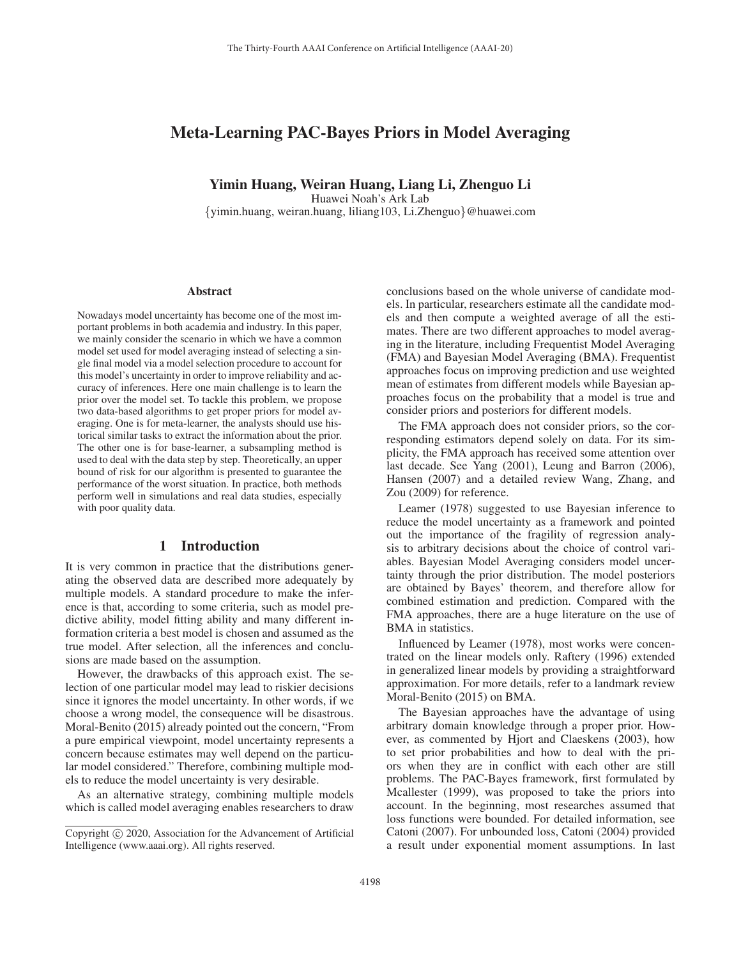# Meta-Learning PAC-Bayes Priors in Model Averaging

Yimin Huang, Weiran Huang, Liang Li, Zhenguo Li

Huawei Noah's Ark Lab

{yimin.huang, weiran.huang, liliang103, Li.Zhenguo}@huawei.com

#### **Abstract**

Nowadays model uncertainty has become one of the most important problems in both academia and industry. In this paper, we mainly consider the scenario in which we have a common model set used for model averaging instead of selecting a single final model via a model selection procedure to account for this model's uncertainty in order to improve reliability and accuracy of inferences. Here one main challenge is to learn the prior over the model set. To tackle this problem, we propose two data-based algorithms to get proper priors for model averaging. One is for meta-learner, the analysts should use historical similar tasks to extract the information about the prior. The other one is for base-learner, a subsampling method is used to deal with the data step by step. Theoretically, an upper bound of risk for our algorithm is presented to guarantee the performance of the worst situation. In practice, both methods perform well in simulations and real data studies, especially with poor quality data.

## 1 Introduction

It is very common in practice that the distributions generating the observed data are described more adequately by multiple models. A standard procedure to make the inference is that, according to some criteria, such as model predictive ability, model fitting ability and many different information criteria a best model is chosen and assumed as the true model. After selection, all the inferences and conclusions are made based on the assumption.

However, the drawbacks of this approach exist. The selection of one particular model may lead to riskier decisions since it ignores the model uncertainty. In other words, if we choose a wrong model, the consequence will be disastrous. Moral-Benito (2015) already pointed out the concern, "From a pure empirical viewpoint, model uncertainty represents a concern because estimates may well depend on the particular model considered." Therefore, combining multiple models to reduce the model uncertainty is very desirable.

As an alternative strategy, combining multiple models which is called model averaging enables researchers to draw conclusions based on the whole universe of candidate models. In particular, researchers estimate all the candidate models and then compute a weighted average of all the estimates. There are two different approaches to model averaging in the literature, including Frequentist Model Averaging (FMA) and Bayesian Model Averaging (BMA). Frequentist approaches focus on improving prediction and use weighted mean of estimates from different models while Bayesian approaches focus on the probability that a model is true and consider priors and posteriors for different models.

The FMA approach does not consider priors, so the corresponding estimators depend solely on data. For its simplicity, the FMA approach has received some attention over last decade. See Yang (2001), Leung and Barron (2006), Hansen (2007) and a detailed review Wang, Zhang, and Zou (2009) for reference.

Leamer (1978) suggested to use Bayesian inference to reduce the model uncertainty as a framework and pointed out the importance of the fragility of regression analysis to arbitrary decisions about the choice of control variables. Bayesian Model Averaging considers model uncertainty through the prior distribution. The model posteriors are obtained by Bayes' theorem, and therefore allow for combined estimation and prediction. Compared with the FMA approaches, there are a huge literature on the use of BMA in statistics.

Influenced by Leamer (1978), most works were concentrated on the linear models only. Raftery (1996) extended in generalized linear models by providing a straightforward approximation. For more details, refer to a landmark review Moral-Benito (2015) on BMA.

The Bayesian approaches have the advantage of using arbitrary domain knowledge through a proper prior. However, as commented by Hjort and Claeskens (2003), how to set prior probabilities and how to deal with the priors when they are in conflict with each other are still problems. The PAC-Bayes framework, first formulated by Mcallester (1999), was proposed to take the priors into account. In the beginning, most researches assumed that loss functions were bounded. For detailed information, see Catoni (2007). For unbounded loss, Catoni (2004) provided a result under exponential moment assumptions. In last

Copyright  $\odot$  2020, Association for the Advancement of Artificial Intelligence (www.aaai.org). All rights reserved.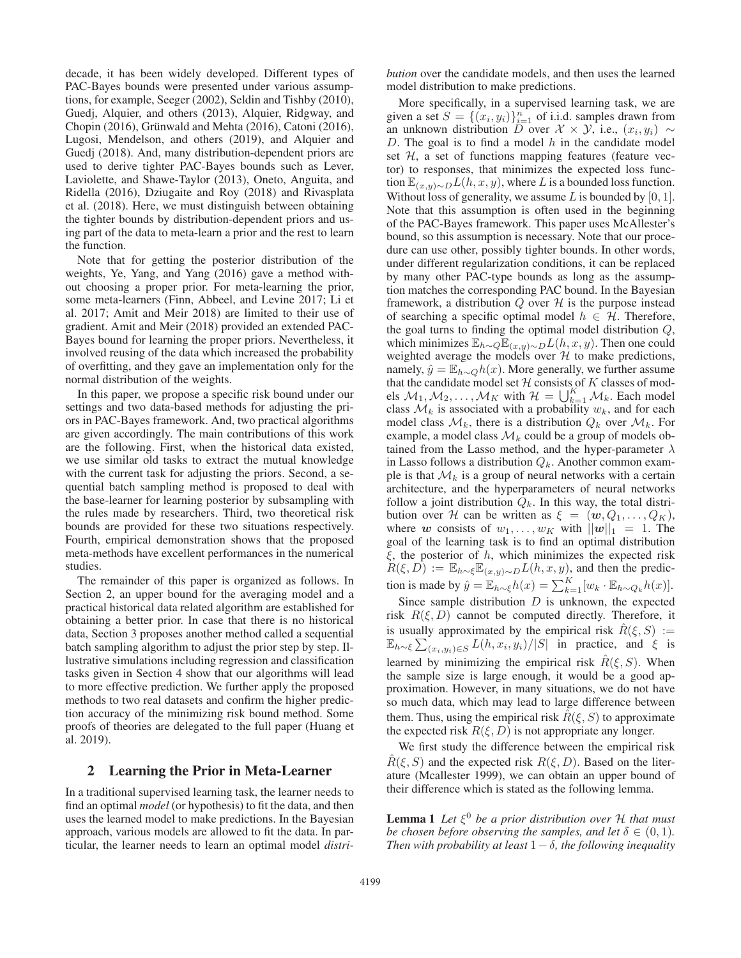decade, it has been widely developed. Different types of PAC-Bayes bounds were presented under various assumptions, for example, Seeger (2002), Seldin and Tishby (2010), Guedj, Alquier, and others (2013), Alquier, Ridgway, and Chopin  $(2016)$ , Grünwald and Mehta  $(2016)$ , Catoni  $(2016)$ , Lugosi, Mendelson, and others (2019), and Alquier and Guedj (2018). And, many distribution-dependent priors are used to derive tighter PAC-Bayes bounds such as Lever, Laviolette, and Shawe-Taylor (2013), Oneto, Anguita, and Ridella (2016), Dziugaite and Roy (2018) and Rivasplata et al. (2018). Here, we must distinguish between obtaining the tighter bounds by distribution-dependent priors and using part of the data to meta-learn a prior and the rest to learn the function.

Note that for getting the posterior distribution of the weights, Ye, Yang, and Yang (2016) gave a method without choosing a proper prior. For meta-learning the prior, some meta-learners (Finn, Abbeel, and Levine 2017; Li et al. 2017; Amit and Meir 2018) are limited to their use of gradient. Amit and Meir (2018) provided an extended PAC-Bayes bound for learning the proper priors. Nevertheless, it involved reusing of the data which increased the probability of overfitting, and they gave an implementation only for the normal distribution of the weights.

In this paper, we propose a specific risk bound under our settings and two data-based methods for adjusting the priors in PAC-Bayes framework. And, two practical algorithms are given accordingly. The main contributions of this work are the following. First, when the historical data existed, we use similar old tasks to extract the mutual knowledge with the current task for adjusting the priors. Second, a sequential batch sampling method is proposed to deal with the base-learner for learning posterior by subsampling with the rules made by researchers. Third, two theoretical risk bounds are provided for these two situations respectively. Fourth, empirical demonstration shows that the proposed meta-methods have excellent performances in the numerical studies.

The remainder of this paper is organized as follows. In Section 2, an upper bound for the averaging model and a practical historical data related algorithm are established for obtaining a better prior. In case that there is no historical data, Section 3 proposes another method called a sequential batch sampling algorithm to adjust the prior step by step. Illustrative simulations including regression and classification tasks given in Section 4 show that our algorithms will lead to more effective prediction. We further apply the proposed methods to two real datasets and confirm the higher prediction accuracy of the minimizing risk bound method. Some proofs of theories are delegated to the full paper (Huang et al. 2019).

## 2 Learning the Prior in Meta-Learner

In a traditional supervised learning task, the learner needs to find an optimal *model* (or hypothesis) to fit the data, and then uses the learned model to make predictions. In the Bayesian approach, various models are allowed to fit the data. In particular, the learner needs to learn an optimal model *distri-* *bution* over the candidate models, and then uses the learned model distribution to make predictions.

More specifically, in a supervised learning task, we are given a set  $S = \{(x_i, y_i)\}_{i=1}^n$  of i.i.d. samples drawn from an unknown distribution D over  $\mathcal{X} \times \mathcal{Y}$ , i.e.,  $(x_i, y_i) \sim$ D. The goal is to find a model  $h$  in the candidate model set  $H$ , a set of functions mapping features (feature vector) to responses, that minimizes the expected loss function  $\mathbb{E}_{(x,y)\sim D}L(h, x, y)$ , where L is a bounded loss function. Without loss of generality, we assume L is bounded by  $[0, 1]$ . Note that this assumption is often used in the beginning of the PAC-Bayes framework. This paper uses McAllester's bound, so this assumption is necessary. Note that our procedure can use other, possibly tighter bounds. In other words, under different regularization conditions, it can be replaced by many other PAC-type bounds as long as the assumption matches the corresponding PAC bound. In the Bayesian framework, a distribution  $Q$  over  $H$  is the purpose instead of searching a specific optimal model  $h \in \mathcal{H}$ . Therefore, the goal turns to finding the optimal model distribution Q, which minimizes  $\mathbb{E}_{h\sim Q}\mathbb{E}_{(x,y)\sim D}L(h, x, y)$ . Then one could weighted average the models over  $H$  to make predictions, namely,  $\hat{y} = \mathbb{E}_{h \sim Q} h(x)$ . More generally, we further assume that the candidate model set  $H$  consists of K classes of models  $M_1, M_2, ..., M_K$  with  $H = \bigcup_{k=1}^K M_k$ . Each model class  $\mathcal{M}_k$  is associated with a probability  $w_k$ , and for each model class  $\mathcal{M}_k$ , there is a distribution  $Q_k$  over  $\mathcal{M}_k$ . For example, a model class  $\mathcal{M}_k$  could be a group of models obtained from the Lasso method, and the hyper-parameter  $\lambda$ in Lasso follows a distribution  $Q_k$ . Another common example is that  $\mathcal{M}_k$  is a group of neural networks with a certain architecture, and the hyperparameters of neural networks follow a joint distribution  $Q_k$ . In this way, the total distribution over H can be written as  $\xi = (\mathbf{w}, Q_1, \dots, Q_K)$ , where *w* consists of  $w_1, \ldots, w_K$  with  $||w||_1 = 1$ . The goal of the learning task is to find an optimal distribution  $\xi$ , the posterior of h, which minimizes the expected risk  $R(\xi, D) := \mathbb{E}_{h \sim \xi} \mathbb{E}_{(x,y) \sim D} L(h, x, y)$ , and then the prediction is made by  $\hat{y} = \mathbb{E}_{h \sim \xi} h(x) = \sum_{k=1}^{K} [w_k \cdot \mathbb{E}_{h \sim Q_k} h(x)].$ 

Since sample distribution  $D$  is unknown, the expected risk  $R(\xi, D)$  cannot be computed directly. Therefore, it is usually approximated by the empirical risk  $\hat{R}(\xi, S) :=$  $\mathbb{E}_{h \sim \xi}$   $\sum_{(x_i, y_i) \in S} L(h, x_i, y_i) / |S|$  in practice, and  $\xi$  is learned by minimizing the empirical risk  $\hat{R}(\xi, S)$ . When the sample size is large enough, it would be a good approximation. However, in many situations, we do not have so much data, which may lead to large difference between them. Thus, using the empirical risk  $R(\xi, S)$  to approximate the expected risk  $R(\xi, D)$  is not appropriate any longer.

We first study the difference between the empirical risk  $R(\xi, S)$  and the expected risk  $R(\xi, D)$ . Based on the literature (Mcallester 1999), we can obtain an upper bound of their difference which is stated as the following lemma.

**Lemma 1** *Let*  $\xi^0$  *be a prior distribution over*  $H$  *that must be chosen before observing the samples, and let*  $\delta \in (0, 1)$ *. Then with probability at least*  $1 - \delta$ *, the following inequality*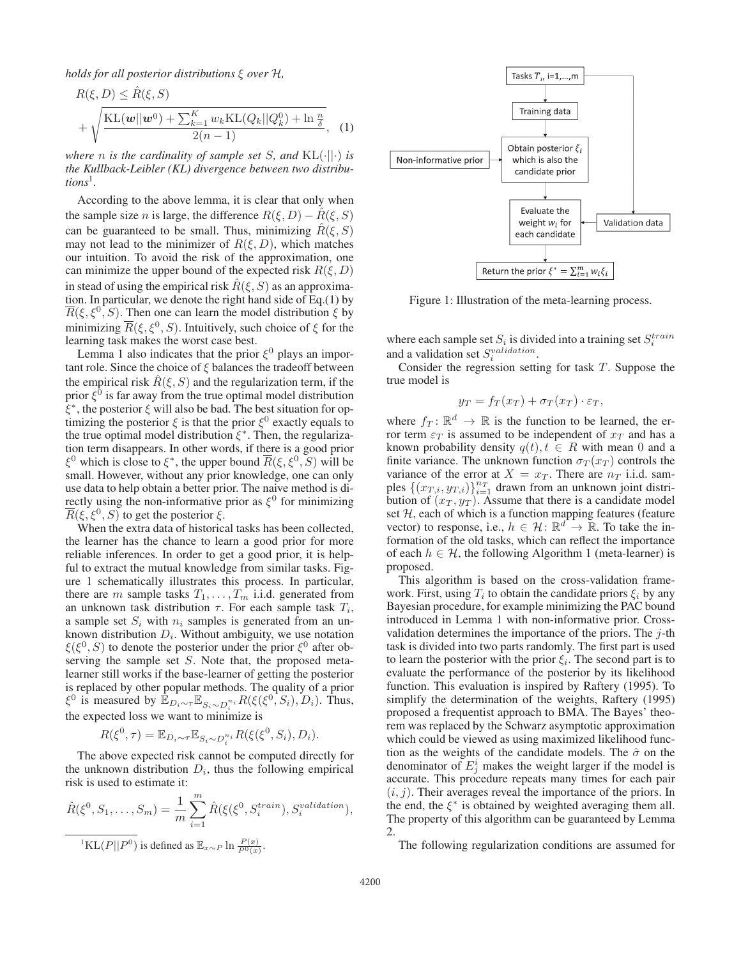*holds for all posterior distributions* ξ *over* H*,*

$$
R(\xi, D) \leq \hat{R}(\xi, S)
$$
  
+  $\sqrt{\frac{\text{KL}(w||w^0) + \sum_{k=1}^K w_k \text{KL}(Q_k||Q_k^0) + \ln \frac{n}{\delta}}{2(n-1)}},$  (1)

*where n is the cardinality of sample set S*, and  $KL(\cdot||\cdot)$  *is the Kullback-Leibler (KL) divergence between two distributions*1*.*

According to the above lemma, it is clear that only when the sample size *n* is large, the difference  $R(\xi, D) - \hat{R}(\xi, S)$ can be guaranteed to be small. Thus, minimizing  $R(\xi, S)$ may not lead to the minimizer of  $R(\xi, D)$ , which matches our intuition. To avoid the risk of the approximation, one can minimize the upper bound of the expected risk  $R(\xi, D)$ in stead of using the empirical risk  $R(\xi, S)$  as an approximation. In particular, we denote the right hand side of Eq.(1) by  $\overline{R}(\xi, \xi^0, S)$ . Then one can learn the model distribution  $\xi$  by minimizing  $\overline{R}(\xi, \xi^0, S)$ . Intuitively, such choice of  $\xi$  for the learning task makes the worst case best.

Lemma 1 also indicates that the prior  $\xi^0$  plays an important role. Since the choice of  $\xi$  balances the tradeoff between the empirical risk  $R(\xi, S)$  and the regularization term, if the prior  $\xi^0$  is far away from the true optimal model distribution  $\xi^*$ , the posterior  $\xi$  will also be bad. The best situation for optimizing the posterior  $\xi$  is that the prior  $\xi^0$  exactly equals to the true optimal model distribution  $\xi^*$ . Then, the regularization term disappears. In other words, if there is a good prior  $\xi^0$  which is close to  $\xi^*$ , the upper bound  $R(\xi, \xi^0, S)$  will be small. However, without any prior knowledge, one can only use data to help obtain a better prior. The naive method is directly using the non-informative prior as  $\xi^0$  for minimizing  $\overline{R}(\xi, \xi^0, S)$  to get the posterior  $\xi$ .

When the extra data of historical tasks has been collected, the learner has the chance to learn a good prior for more reliable inferences. In order to get a good prior, it is helpful to extract the mutual knowledge from similar tasks. Figure 1 schematically illustrates this process. In particular, there are m sample tasks  $T_1, \ldots, T_m$  i.i.d. generated from an unknown task distribution  $\tau$ . For each sample task  $T_i$ , a sample set  $S_i$  with  $n_i$  samples is generated from an unknown distribution  $D_i$ . Without ambiguity, we use notation  $\xi(\xi^0, S)$  to denote the posterior under the prior  $\xi^0$  after observing the sample set S. Note that, the proposed metalearner still works if the base-learner of getting the posterior is replaced by other popular methods. The quality of a prior  $\xi^0$  is measured by  $\mathbb{E}_{D_i \sim \tau} \mathbb{E}_{S_i \sim D_i^{n_i}} R(\xi(\xi^0, S_i), D_i)$ . Thus, the expected loss we want to minimize is

 $R(\xi^0, \tau) = \mathbb{E}_{D_i \sim \tau} \mathbb{E}_{S_i \sim D_i^{n_i}} R(\xi(\xi^0, S_i), D_i).$ 

The above expected risk cannot be computed directly for the unknown distribution  $D_i$ , thus the following empirical risk is used to estimate it:

$$
\hat{R}(\xi^0, S_1, \dots, S_m) = \frac{1}{m} \sum_{i=1}^m \hat{R}(\xi(\xi^0, S_i^{train}), S_i^{validation}),
$$
  

$$
\frac{1}{\text{KL}(P||P^0)} \text{ is defined as } \mathbb{E}_{x \sim P} \ln \frac{P(x)}{P^0(x)}.
$$



Figure 1: Illustration of the meta-learning process.

where each sample set  $S_i$  is divided into a training set  $S_i^{train}$ and a validation set  $S_i^{validation}$ .

Consider the regression setting for task T. Suppose the true model is

$$
y_T = f_T(x_T) + \sigma_T(x_T) \cdot \varepsilon_T,
$$

where  $f_T: \mathbb{R}^d \to \mathbb{R}$  is the function to be learned, the error term  $\varepsilon_T$  is assumed to be independent of  $x_T$  and has a known probability density  $q(t)$ ,  $t \in R$  with mean 0 and a finite variance. The unknown function  $\sigma_T(x_T)$  controls the variance of the error at  $X = x_T$ . There are  $n_T$  i.i.d. samples  $\{(x_{T,i}, y_{T,i})\}_{i=1}^{n_T}$  drawn from an unknown joint distribution of  $(x_T, y_T)$ . Assume that there is a candidate model set  $H$ , each of which is a function mapping features (feature vector) to response, i.e.,  $h \in \mathcal{H} \colon \mathbb{R}^d \to \mathbb{R}$ . To take the information of the old tasks, which can reflect the importance of each  $h \in \mathcal{H}$ , the following Algorithm 1 (meta-learner) is proposed.

This algorithm is based on the cross-validation framework. First, using  $T_i$  to obtain the candidate priors  $\xi_i$  by any Bayesian procedure, for example minimizing the PAC bound introduced in Lemma 1 with non-informative prior. Crossvalidation determines the importance of the priors. The  $j$ -th task is divided into two parts randomly. The first part is used to learn the posterior with the prior  $\xi_i$ . The second part is to evaluate the performance of the posterior by its likelihood function. This evaluation is inspired by Raftery (1995). To simplify the determination of the weights, Raftery (1995) proposed a frequentist approach to BMA. The Bayes' theorem was replaced by the Schwarz asymptotic approximation which could be viewed as using maximized likelihood function as the weights of the candidate models. The  $\hat{\sigma}$  on the denominator of  $E_i^i$  makes the weight larger if the model is accurate. This procedure repeats many times for each pair  $(i, j)$ . Their averages reveal the importance of the priors. In the end, the  $\xi^*$  is obtained by weighted averaging them all. The property of this algorithm can be guaranteed by Lemma 2.

The following regularization conditions are assumed for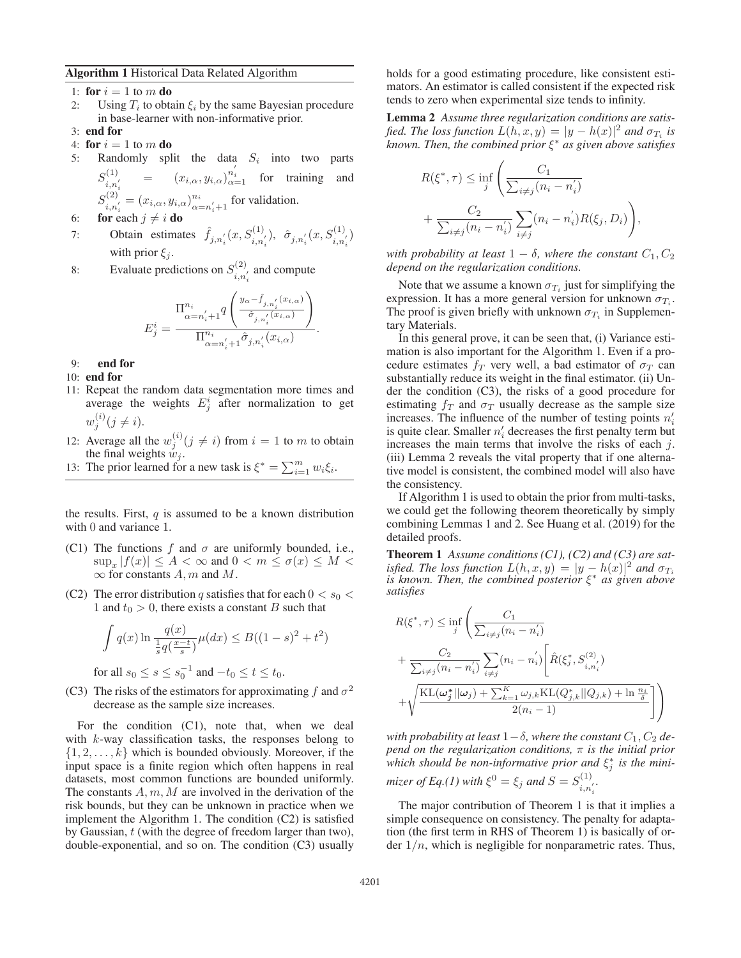#### Algorithm 1 Historical Data Related Algorithm

1: for  $i = 1$  to m do

- 2: Using  $T_i$  to obtain  $\xi_i$  by the same Bayesian procedure in base-learner with non-informative prior.
- 3: end for
- 4: for  $i = 1$  to m do
- 5: Randomly split the data  $S_i$  into two parts  $S_{i,n_i'}^{(1)} = (x_{i,\alpha}, y_{i,\alpha})_{\alpha=1}^{n_i}$  $=$   $(x_{i,\alpha}, y_{i,\alpha})_{\alpha=1}^{n'_i}$  for training and  $\frac{n_i}{\alpha = n'_i+1}$  for validation.
- 6: for each  $j \neq i$  do
- 7: Obtain estimates  $\hat{f}_{j,n'_i}(x, S_{i,n'_i}^{(1)})$ ,  $\hat{\sigma}_{j,n'_i}(x, S_{i,n'_i}^{(1)})$ with prior  $\xi_j$ .

8: Evaluate predictions on  $S_{i,n'_i}^{(2)}$  and compute

$$
E_j^i = \frac{\prod_{\alpha=n'_i+1}^{n_i} q\left(\frac{y_{\alpha} - \hat{f}_{j,n'_i}(x_{i,\alpha})}{\hat{\sigma}_{j,n'_i}(x_{i,\alpha})}\right)}{\prod_{\alpha=n'_i+1}^{n_i} \hat{\sigma}_{j,n'_i}(x_{i,\alpha})}.
$$

- 9: end for
- 10: end for
- 11: Repeat the random data segmentation more times and average the weights  $E_i^i$  after normalization to get  $w_i^{(i)}(j \neq i)$ .
- 12: Average all the  $w_i^{(i)}(j \neq i)$  from  $i = 1$  to m to obtain the final weights  $w_j$ .
- 13: The prior learned for a new task is  $\xi^* = \sum_{i=1}^m w_i \xi_i$ .

the results. First,  $q$  is assumed to be a known distribution with 0 and variance 1.

- (C1) The functions f and  $\sigma$  are uniformly bounded, i.e.,  $\sup_x |f(x)| \leq A < \infty$  and  $0 < m \leq \sigma(x) \leq M <$  $\infty$  for constants A, m and M.
- (C2) The error distribution q satisfies that for each  $0 < s_0 <$ 1 and  $t_0 > 0$ , there exists a constant B such that

$$
\int q(x) \ln \frac{q(x)}{\frac{1}{s}q(\frac{x-t}{s})} \mu(dx) \le B((1-s)^2 + t^2)
$$
  
for all  $s_0 \le s \le s_0^{-1}$  and  $-t_0 \le t \le t_0$ .

(C3) The risks of the estimators for approximating f and  $\sigma^2$ decrease as the sample size increases.

For the condition (C1), note that, when we deal with  $k$ -way classification tasks, the responses belong to  $\{1, 2, \ldots, k\}$  which is bounded obviously. Moreover, if the input space is a finite region which often happens in real datasets, most common functions are bounded uniformly. The constants  $A, m, M$  are involved in the derivation of the risk bounds, but they can be unknown in practice when we implement the Algorithm 1. The condition (C2) is satisfied by Gaussian, t (with the degree of freedom larger than two), double-exponential, and so on. The condition (C3) usually holds for a good estimating procedure, like consistent estimators. An estimator is called consistent if the expected risk tends to zero when experimental size tends to infinity.

Lemma 2 *Assume three regularization conditions are satisfied. The loss function*  $L(h, x, y) = |y - h(x)|^2$  and  $\sigma_{T_i}$  is *known. Then, the combined prior* ξ<sup>∗</sup> *as given above satisfies*

$$
R(\xi^*, \tau) \le \inf_j \left( \frac{C_1}{\sum_{i \neq j} (n_i - n'_i)} + \frac{C_2}{\sum_{i \neq j} (n_i - n'_i)} \sum_{i \neq j} (n_i - n'_i) R(\xi_j, D_i) \right),
$$

*with probability at least*  $1 - \delta$ *, where the constant*  $C_1, C_2$ *depend on the regularization conditions.*

Note that we assume a known  $\sigma_{T_i}$  just for simplifying the expression. It has a more general version for unknown  $\sigma_{T_i}$ . The proof is given briefly with unknown  $\sigma_{T_i}$  in Supplementary Materials.

In this general prove, it can be seen that, (i) Variance estimation is also important for the Algorithm 1. Even if a procedure estimates  $f_T$  very well, a bad estimator of  $\sigma_T$  can substantially reduce its weight in the final estimator. (ii) Under the condition (C3), the risks of a good procedure for estimating  $f_T$  and  $\sigma_T$  usually decrease as the sample size increases. The influence of the number of testing points  $n'_i$ is quite clear. Smaller  $n'_i$  decreases the first penalty term but increases the main terms that involve the risks of each  $j$ . (iii) Lemma 2 reveals the vital property that if one alternative model is consistent, the combined model will also have the consistency.

If Algorithm 1 is used to obtain the prior from multi-tasks, we could get the following theorem theoretically by simply combining Lemmas 1 and 2. See Huang et al. (2019) for the detailed proofs.

Theorem 1 *Assume conditions (C1), (C2) and (C3) are satisfied. The loss function*  $L(h, x, y) = |y - h(x)|^2$  *and*  $\sigma_{T_i}$ *is known. Then, the combined posterior* ξ<sup>∗</sup> *as given above satisfies*

$$
R(\xi^*, \tau) \le \inf_j \left( \frac{C_1}{\sum_{i \neq j} (n_i - n'_i)} + \frac{C_2}{\sum_{i \neq j} (n_i - n'_i)} \sum_{i \neq j} (n_i - n'_i) \left[ \hat{R}(\xi_j^*, S_{i, n'_i}^{(2)}) + \sqrt{\frac{\text{KL}(\omega_j^* || \omega_j) + \sum_{k=1}^K \omega_{j,k} \text{KL}(Q_{j,k}^* || Q_{j,k}) + \ln \frac{n_i}{\delta}}{2(n_i - 1)}} \right) \right)
$$

*with probability at least*  $1-\delta$ *, where the constant*  $C_1$ *,*  $C_2$  *depend on the regularization conditions,* π *is the initial prior which should be non-informative prior and* ξ<sup>∗</sup> <sup>j</sup> *is the minimizer of Eq.(1)* with  $\xi^0 = \xi_j$  and  $S = S_{i,n'_i}^{(1)}$ .

The major contribution of Theorem 1 is that it implies a simple consequence on consistency. The penalty for adaptation (the first term in RHS of Theorem 1) is basically of order  $1/n$ , which is negligible for nonparametric rates. Thus,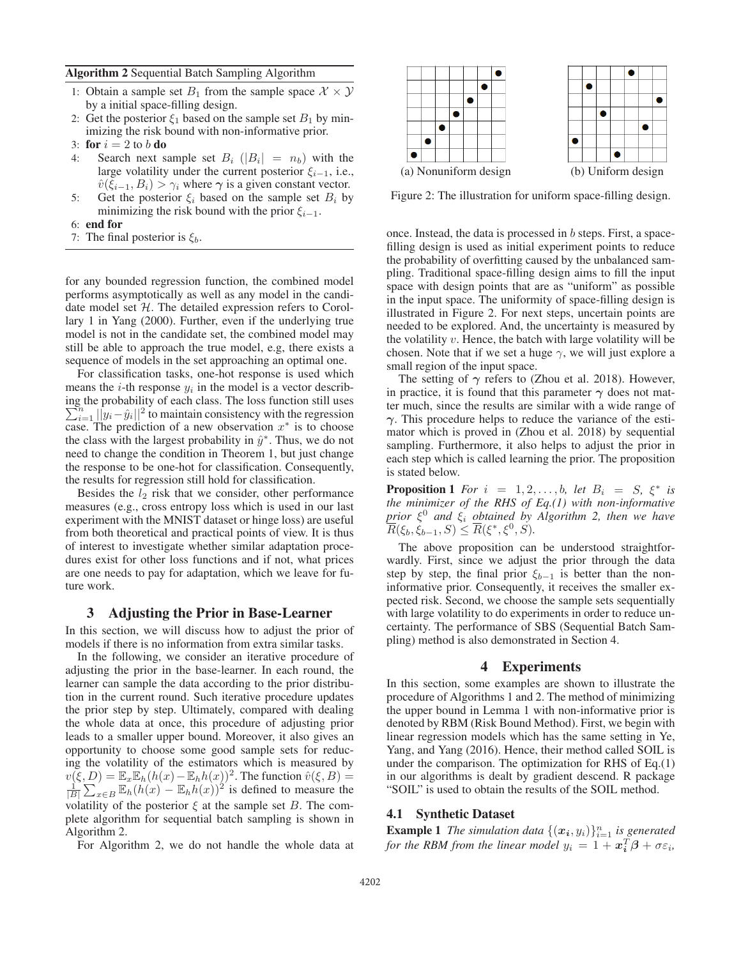Algorithm 2 Sequential Batch Sampling Algorithm

- 1: Obtain a sample set  $B_1$  from the sample space  $\mathcal{X} \times \mathcal{Y}$ by a initial space-filling design.
- 2: Get the posterior  $\xi_1$  based on the sample set  $B_1$  by minimizing the risk bound with non-informative prior.
- 3: for  $i = 2$  to b do
- 4: Search next sample set  $B_i$  ( $|B_i| = n_b$ ) with the large volatility under the current posterior  $\xi_{i-1}$ , i.e.,  $\hat{v}(\xi_{i-1}, B_i) > \gamma_i$  where  $\gamma$  is a given constant vector.
- 5: Get the posterior  $\xi_i$  based on the sample set  $B_i$  by minimizing the risk bound with the prior  $\xi_{i-1}$ .
- 6: end for
- 7: The final posterior is  $\xi_b$ .

for any bounded regression function, the combined model performs asymptotically as well as any model in the candidate model set  $H$ . The detailed expression refers to Corollary 1 in Yang (2000). Further, even if the underlying true model is not in the candidate set, the combined model may still be able to approach the true model, e.g, there exists a sequence of models in the set approaching an optimal one.

For classification tasks, one-hot response is used which means the *i*-th response  $y_i$  in the model is a vector describing the probability of each class. The loss function still uses  $\sum_{i=1}^{n} ||y_i - \hat{y}_i||^2$  to maintain consistency with the regression case. The prediction of a new observation  $x^*$  is to choose the class with the largest probability in  $\hat{y}^*$ . Thus, we do not need to change the condition in Theorem 1, but just change the response to be one-hot for classification. Consequently, the results for regression still hold for classification.

Besides the  $l_2$  risk that we consider, other performance measures (e.g., cross entropy loss which is used in our last experiment with the MNIST dataset or hinge loss) are useful from both theoretical and practical points of view. It is thus of interest to investigate whether similar adaptation procedures exist for other loss functions and if not, what prices are one needs to pay for adaptation, which we leave for future work.

## 3 Adjusting the Prior in Base-Learner

In this section, we will discuss how to adjust the prior of models if there is no information from extra similar tasks.

In the following, we consider an iterative procedure of adjusting the prior in the base-learner. In each round, the learner can sample the data according to the prior distribution in the current round. Such iterative procedure updates the prior step by step. Ultimately, compared with dealing the whole data at once, this procedure of adjusting prior leads to a smaller upper bound. Moreover, it also gives an opportunity to choose some good sample sets for reducing the volatility of the estimators which is measured by  $v(\xi, D) = \mathbb{E}_x \mathbb{E}_h(h(x) - \mathbb{E}_h h(x))^2$ . The function  $\hat{v}(\xi, B) =$  $\frac{1}{|B|} \sum_{x \in B}^{\infty} \mathbb{E}_h(h(x)) - \mathbb{E}_h(h(x))^2$  is defined to measure the volatility of the posterior  $\xi$  at the sample set B. The complete algorithm for sequential batch sampling is shown in Algorithm 2.

For Algorithm 2, we do not handle the whole data at



Figure 2: The illustration for uniform space-filling design.

once. Instead, the data is processed in  $b$  steps. First, a spacefilling design is used as initial experiment points to reduce the probability of overfitting caused by the unbalanced sampling. Traditional space-filling design aims to fill the input space with design points that are as "uniform" as possible in the input space. The uniformity of space-filling design is illustrated in Figure 2. For next steps, uncertain points are needed to be explored. And, the uncertainty is measured by the volatility  $v$ . Hence, the batch with large volatility will be chosen. Note that if we set a huge  $\gamma$ , we will just explore a small region of the input space.

The setting of  $\gamma$  refers to (Zhou et al. 2018). However, in practice, it is found that this parameter  $\gamma$  does not matter much, since the results are similar with a wide range of *γ*. This procedure helps to reduce the variance of the estimator which is proved in (Zhou et al. 2018) by sequential sampling. Furthermore, it also helps to adjust the prior in each step which is called learning the prior. The proposition is stated below.

**Proposition 1** *For*  $i = 1, 2, \ldots, b$ *, let*  $B_i = S$ *,*  $\xi^*$  *is the minimizer of the RHS of Eq.(1) with non-informative prior* ξ<sup>0</sup> *and* ξ<sup>i</sup> *obtained by Algorithm 2, then we have*  $\overline{R}(\xi_b, \xi_{b-1}, S) \leq \overline{R}(\xi^*, \xi^0, S).$ 

The above proposition can be understood straightforwardly. First, since we adjust the prior through the data step by step, the final prior  $\xi_{b-1}$  is better than the noninformative prior. Consequently, it receives the smaller expected risk. Second, we choose the sample sets sequentially with large volatility to do experiments in order to reduce uncertainty. The performance of SBS (Sequential Batch Sampling) method is also demonstrated in Section 4.

#### 4 Experiments

In this section, some examples are shown to illustrate the procedure of Algorithms 1 and 2. The method of minimizing the upper bound in Lemma 1 with non-informative prior is denoted by RBM (Risk Bound Method). First, we begin with linear regression models which has the same setting in Ye, Yang, and Yang (2016). Hence, their method called SOIL is under the comparison. The optimization for RHS of Eq.(1) in our algorithms is dealt by gradient descend. R package "SOIL" is used to obtain the results of the SOIL method.

#### 4.1 Synthetic Dataset

**Example 1** The simulation data  $\{(\mathbf{x}_i, y_i)\}_{i=1}^n$  is generated *for the RBM from the linear model*  $y_i = 1 + x_i^T \beta + \sigma \varepsilon_i$ ,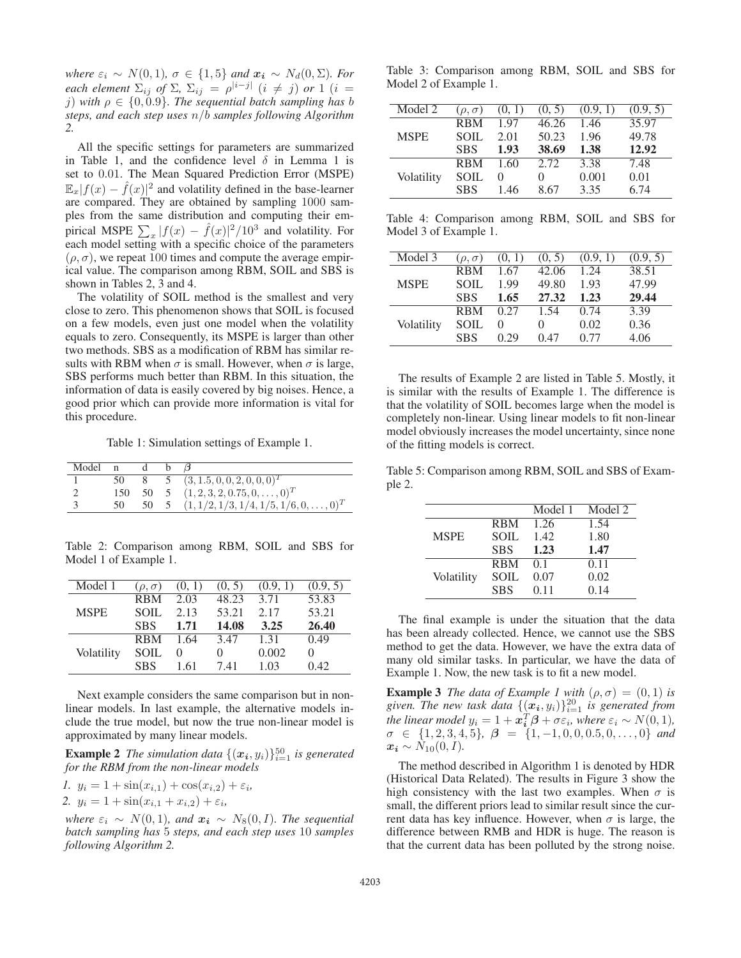*where*  $\varepsilon_i \sim N(0, 1)$ *,*  $\sigma \in \{1, 5\}$  *and*  $x_i \sim N_d(0, \Sigma)$ *. For each element*  $\Sigma_{ij}$  *of*  $\Sigma$ ,  $\Sigma_{ij} = \rho^{|i-j|}$  ( $i \neq j$ ) *or* 1 ( $i =$ j) with  $\rho \in \{0, 0.9\}$ . The sequential batch sampling has b *steps, and each step uses* n/b *samples following Algorithm 2.*

All the specific settings for parameters are summarized in Table 1, and the confidence level  $\delta$  in Lemma 1 is set to 0.01. The Mean Squared Prediction Error (MSPE)  $\mathbb{E}_x |f(x) - \hat{f}(x)|^2$  and volatility defined in the base-learner are compared. They are obtained by sampling 1000 samples from the same distribution and computing their empirical MSPE  $\sum_{x} |f(x) - \hat{f}(x)|^2 / 10^3$  and volatility. For each model setting with a specific choice of the parameters  $(\rho, \sigma)$ , we repeat 100 times and compute the average empirical value. The comparison among RBM, SOIL and SBS is shown in Tables 2, 3 and 4.

The volatility of SOIL method is the smallest and very close to zero. This phenomenon shows that SOIL is focused on a few models, even just one model when the volatility equals to zero. Consequently, its MSPE is larger than other two methods. SBS as a modification of RBM has similar results with RBM when  $\sigma$  is small. However, when  $\sigma$  is large, SBS performs much better than RBM. In this situation, the information of data is easily covered by big noises. Hence, a good prior which can provide more information is vital for this procedure.

Table 1: Simulation settings of Example 1.

| Model | n   |    |                                                  |
|-------|-----|----|--------------------------------------------------|
|       | 50  |    | 5 $(3, 1.5, 0, 0, 2, 0, 0, 0)^T$                 |
|       | 150 |    | 50 5 $(1, 2, 3, 2, 0.75, 0, \ldots, 0)^T$        |
|       | 50  | 50 | 5 $(1, 1/2, 1/3, 1/4, 1/5, 1/6, 0, \ldots, 0)^T$ |

Table 2: Comparison among RBM, SOIL and SBS for Model 1 of Example 1.

| Model 1     | $(\rho, \sigma)$ | (0, 1)       | (0, 5)   | (0.9, 1) | (0.9, 5)     |
|-------------|------------------|--------------|----------|----------|--------------|
|             | <b>RBM</b>       | 2.03         | 48.23    | 3.71     | 53.83        |
| <b>MSPE</b> | <b>SOIL</b>      | 2.13         | 53.21    | 2.17     | 53.21        |
|             | <b>SBS</b>       | 1.71         | 14.08    | 3.25     | 26.40        |
|             | <b>RBM</b>       | 1.64         | 3.47     | 1.31     | 0.49         |
| Volatility  | SOIL             | $\mathbf{0}$ | $\theta$ | 0.002    | $\mathbf{0}$ |
|             | <b>SBS</b>       | 1.61         | 7.41     | 1.03     | 0.42         |

Next example considers the same comparison but in nonlinear models. In last example, the alternative models include the true model, but now the true non-linear model is approximated by many linear models.

**Example 2** The simulation data  $\{(x_i, y_i)\}_{i=1}^{50}$  is generated *for the RBM from the non-linear models*

*I.* 
$$
y_i = 1 + \sin(x_{i,1}) + \cos(x_{i,2}) + \varepsilon_i
$$
,  
2.  $y_i = 1 + \sin(x_{i,1} + x_{i,2}) + \varepsilon_i$ ,

*where*  $\varepsilon_i \sim N(0, 1)$ *, and*  $x_i \sim N_8(0, I)$ *. The sequential batch sampling has* 5 *steps, and each step uses* 10 *samples following Algorithm 2.*

Table 3: Comparison among RBM, SOIL and SBS for Model 2 of Example 1.

| Model 2     | $(\rho, \sigma)$ | (0, 1)           | (0, 5) | (0.9, 1) | (0.9, 5) |
|-------------|------------------|------------------|--------|----------|----------|
|             | <b>RBM</b>       | 1.97             | 46.26  | 1.46     | 35.97    |
| <b>MSPE</b> | <b>SOIL</b>      | 2.01             | 50.23  | 1.96     | 49.78    |
|             | <b>SBS</b>       | 1.93             | 38.69  | 1.38     | 12.92    |
|             | <b>RBM</b>       | 1.60             | 2.72   | 3.38     | 7.48     |
| Volatility  | SOIL             | $\left( \right)$ | 0      | 0.001    | 0.01     |
|             | <b>SBS</b>       | 1.46             | 8.67   | 3.35     | 6.74     |

Table 4: Comparison among RBM, SOIL and SBS for Model 3 of Example 1.

| Model 3     | $(\rho, \sigma)$ | (0, 1)       | (0, 5) | (0.9, 1) | (0.9, 5) |
|-------------|------------------|--------------|--------|----------|----------|
|             | <b>RBM</b>       | 1.67         | 42.06  | 1.24     | 38.51    |
| <b>MSPE</b> | SOIL.            | 1.99         | 49.80  | 1.93     | 47.99    |
|             | <b>SBS</b>       | 1.65         | 27.32  | 1.23     | 29.44    |
|             | <b>RBM</b>       | 0.27         | 1.54   | 0.74     | 3.39     |
| Volatility  | <b>SOIL</b>      | $\mathbf{0}$ | 0      | 0.02     | 0.36     |
|             | <b>SBS</b>       | 0.29         | 0.47   | 0.77     | 4.06     |

The results of Example 2 are listed in Table 5. Mostly, it is similar with the results of Example 1. The difference is that the volatility of SOIL becomes large when the model is completely non-linear. Using linear models to fit non-linear model obviously increases the model uncertainty, since none of the fitting models is correct.

Table 5: Comparison among RBM, SOIL and SBS of Example 2.

|             |             | Model 1 | Model 2 |
|-------------|-------------|---------|---------|
|             | <b>RBM</b>  | 1.26    | 1.54    |
| <b>MSPE</b> | <b>SOIL</b> | 1.42    | 1.80    |
|             | <b>SBS</b>  | 1.23    | 1.47    |
|             | <b>RBM</b>  | 01      | 0.11    |
| Volatility  | <b>SOIL</b> | 0.07    | 0.02    |
|             | <b>SBS</b>  | 0.11    | 0.14    |
|             |             |         |         |

The final example is under the situation that the data has been already collected. Hence, we cannot use the SBS method to get the data. However, we have the extra data of many old similar tasks. In particular, we have the data of Example 1. Now, the new task is to fit a new model.

**Example 3** *The data of Example 1 with*  $(\rho, \sigma) = (0, 1)$  *is* given. The new task data  $\{(\boldsymbol{x_i}, y_i)\}_{i=1}^{20}$  is generated from *the linear model*  $y_i = 1 + x_i^T \beta + \sigma \varepsilon_i$ *, where*  $\varepsilon_i \sim N(0, 1)$ *,*  $\sigma \in \{1, 2, 3, 4, 5\}, \ \beta = \{1, -1, 0, 0, 0.5, 0, \ldots, 0\}$  and  $x_i \sim N_{10}(0,I)$ .

The method described in Algorithm 1 is denoted by HDR (Historical Data Related). The results in Figure 3 show the high consistency with the last two examples. When  $\sigma$  is small, the different priors lead to similar result since the current data has key influence. However, when  $\sigma$  is large, the difference between RMB and HDR is huge. The reason is that the current data has been polluted by the strong noise.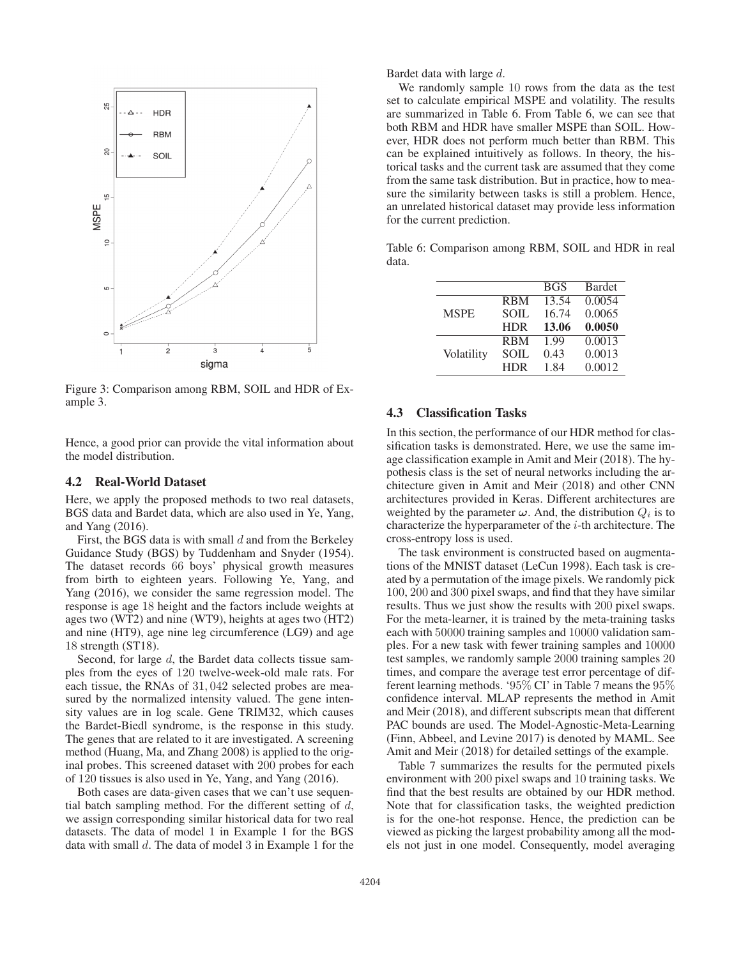

Figure 3: Comparison among RBM, SOIL and HDR of Example 3.

Hence, a good prior can provide the vital information about the model distribution.

#### 4.2 Real-World Dataset

Here, we apply the proposed methods to two real datasets, BGS data and Bardet data, which are also used in Ye, Yang, and Yang (2016).

First, the BGS data is with small  $d$  and from the Berkeley Guidance Study (BGS) by Tuddenham and Snyder (1954). The dataset records 66 boys' physical growth measures from birth to eighteen years. Following Ye, Yang, and Yang (2016), we consider the same regression model. The response is age 18 height and the factors include weights at ages two (WT2) and nine (WT9), heights at ages two (HT2) and nine (HT9), age nine leg circumference (LG9) and age 18 strength (ST18).

Second, for large d, the Bardet data collects tissue samples from the eyes of 120 twelve-week-old male rats. For each tissue, the RNAs of 31, 042 selected probes are measured by the normalized intensity valued. The gene intensity values are in log scale. Gene TRIM32, which causes the Bardet-Biedl syndrome, is the response in this study. The genes that are related to it are investigated. A screening method (Huang, Ma, and Zhang 2008) is applied to the original probes. This screened dataset with 200 probes for each of 120 tissues is also used in Ye, Yang, and Yang (2016).

Both cases are data-given cases that we can't use sequential batch sampling method. For the different setting of  $d$ , we assign corresponding similar historical data for two real datasets. The data of model 1 in Example 1 for the BGS data with small d. The data of model 3 in Example 1 for the

Bardet data with large d.

We randomly sample 10 rows from the data as the test set to calculate empirical MSPE and volatility. The results are summarized in Table 6. From Table 6, we can see that both RBM and HDR have smaller MSPE than SOIL. However, HDR does not perform much better than RBM. This can be explained intuitively as follows. In theory, the historical tasks and the current task are assumed that they come from the same task distribution. But in practice, how to measure the similarity between tasks is still a problem. Hence, an unrelated historical dataset may provide less information for the current prediction.

Table 6: Comparison among RBM, SOIL and HDR in real data.

|             |             | <b>BGS</b> | <b>Bardet</b> |
|-------------|-------------|------------|---------------|
|             | <b>RBM</b>  | 13.54      | 0.0054        |
| <b>MSPE</b> | <b>SOIL</b> | 16.74      | 0.0065        |
|             | <b>HDR</b>  | 13.06      | 0.0050        |
|             | <b>RBM</b>  | 1.99       | 0.0013        |
| Volatility  | SOIL        | 0.43       | 0.0013        |
|             | <b>HDR</b>  | 1.84       | 0.0012        |

## 4.3 Classification Tasks

In this section, the performance of our HDR method for classification tasks is demonstrated. Here, we use the same image classification example in Amit and Meir (2018). The hypothesis class is the set of neural networks including the architecture given in Amit and Meir (2018) and other CNN architectures provided in Keras. Different architectures are weighted by the parameter  $\omega$ . And, the distribution  $Q_i$  is to characterize the hyperparameter of the  $i$ -th architecture. The cross-entropy loss is used.

The task environment is constructed based on augmentations of the MNIST dataset (LeCun 1998). Each task is created by a permutation of the image pixels. We randomly pick 100, 200 and 300 pixel swaps, and find that they have similar results. Thus we just show the results with 200 pixel swaps. For the meta-learner, it is trained by the meta-training tasks each with 50000 training samples and 10000 validation samples. For a new task with fewer training samples and 10000 test samples, we randomly sample 2000 training samples 20 times, and compare the average test error percentage of different learning methods. '95% CI' in Table 7 means the 95% confidence interval. MLAP represents the method in Amit and Meir (2018), and different subscripts mean that different PAC bounds are used. The Model-Agnostic-Meta-Learning (Finn, Abbeel, and Levine 2017) is denoted by MAML. See Amit and Meir (2018) for detailed settings of the example.

Table 7 summarizes the results for the permuted pixels environment with 200 pixel swaps and 10 training tasks. We find that the best results are obtained by our HDR method. Note that for classification tasks, the weighted prediction is for the one-hot response. Hence, the prediction can be viewed as picking the largest probability among all the models not just in one model. Consequently, model averaging